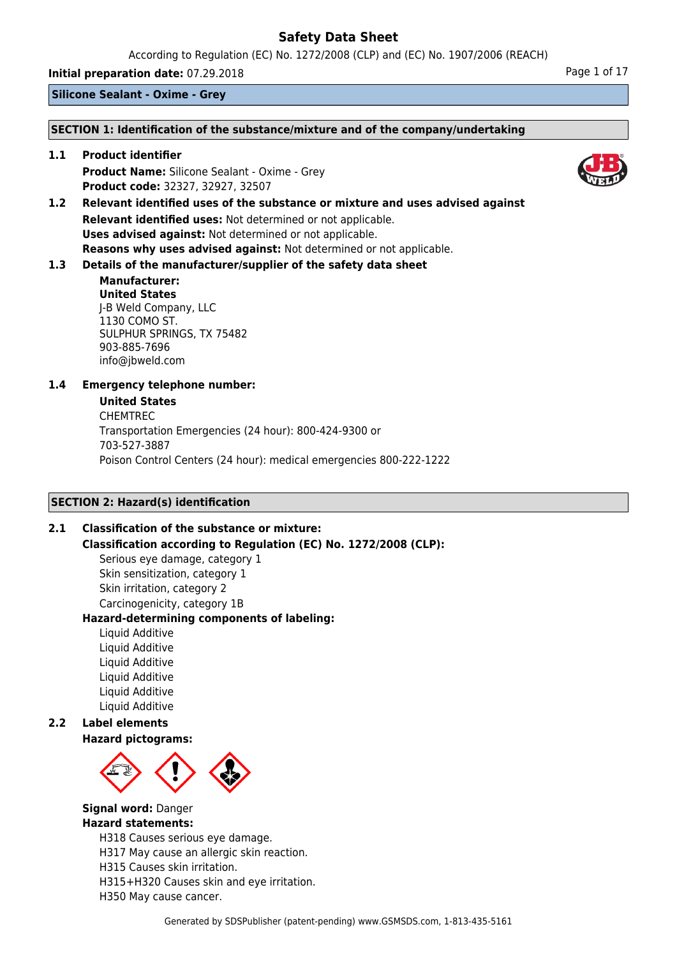According to Regulation (EC) No. 1272/2008 (CLP) and (EC) No. 1907/2006 (REACH)

**Initial preparation date:** 07.29.2018 **Page 1 of 17** Page 1 of 17

**Silicone Sealant - Oxime - Grey**

### **SECTION 1: Identification of the substance/mixture and of the company/undertaking**

**1.1 Product identifier Product Name:** Silicone Sealant - Oxime - Grey **Product code:** 32327, 32927, 32507

**1.2 Relevant identified uses of the substance or mixture and uses advised against Relevant identified uses:** Not determined or not applicable. **Uses advised against:** Not determined or not applicable. **Reasons why uses advised against:** Not determined or not applicable.

# **1.3 Details of the manufacturer/supplier of the safety data sheet**

### **Manufacturer: United States** J-B Weld Company, LLC 1130 COMO ST. SULPHUR SPRINGS, TX 75482 903-885-7696 info@jbweld.com

# **1.4 Emergency telephone number:**

### **United States**

CHEMTREC Transportation Emergencies (24 hour): 800-424-9300 or 703-527-3887 Poison Control Centers (24 hour): medical emergencies 800-222-1222

# **SECTION 2: Hazard(s) identification**

# **2.1 Classification of the substance or mixture:**

**Classification according to Regulation (EC) No. 1272/2008 (CLP):**

Serious eye damage, category 1 Skin sensitization, category 1 Skin irritation, category 2 Carcinogenicity, category 1B

## **Hazard-determining components of labeling:**

Liquid Additive Liquid Additive Liquid Additive Liquid Additive Liquid Additive Liquid Additive

# **2.2 Label elements**

## **Hazard pictograms:**



#### **Signal word:** Danger **Hazard statements:**

H318 Causes serious eye damage.

H317 May cause an allergic skin reaction.

H315 Causes skin irritation.

H315+H320 Causes skin and eye irritation.

H350 May cause cancer.



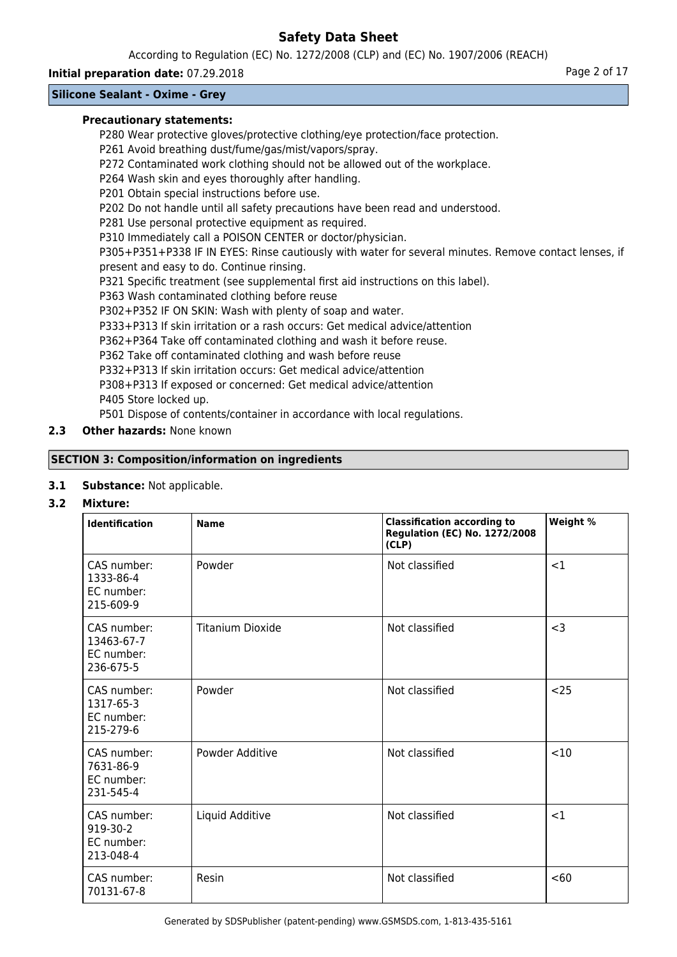According to Regulation (EC) No. 1272/2008 (CLP) and (EC) No. 1907/2006 (REACH)

## **Initial preparation date:** 07.29.2018 **Page 2 of 17** Page 2 of 17

# **Silicone Sealant - Oxime - Grey**

### **Precautionary statements:**

P280 Wear protective gloves/protective clothing/eye protection/face protection.

P261 Avoid breathing dust/fume/gas/mist/vapors/spray.

P272 Contaminated work clothing should not be allowed out of the workplace.

P264 Wash skin and eyes thoroughly after handling.

P201 Obtain special instructions before use.

P202 Do not handle until all safety precautions have been read and understood.

P281 Use personal protective equipment as required.

P310 Immediately call a POISON CENTER or doctor/physician.

P305+P351+P338 IF IN EYES: Rinse cautiously with water for several minutes. Remove contact lenses, if present and easy to do. Continue rinsing.

P321 Specific treatment (see supplemental first aid instructions on this label).

P363 Wash contaminated clothing before reuse

P302+P352 IF ON SKIN: Wash with plenty of soap and water.

P333+P313 If skin irritation or a rash occurs: Get medical advice/attention

P362+P364 Take off contaminated clothing and wash it before reuse.

P362 Take off contaminated clothing and wash before reuse

P332+P313 If skin irritation occurs: Get medical advice/attention

P308+P313 If exposed or concerned: Get medical advice/attention P405 Store locked up.

P501 Dispose of contents/container in accordance with local regulations.

# **2.3 Other hazards:** None known

# **SECTION 3: Composition/information on ingredients**

## **3.1 Substance:** Not applicable.

## **3.2 Mixture:**

| <b>Identification</b>                                | <b>Name</b>             | <b>Classification according to</b><br><b>Regulation (EC) No. 1272/2008</b><br>(CLP) | Weight % |
|------------------------------------------------------|-------------------------|-------------------------------------------------------------------------------------|----------|
| CAS number:<br>1333-86-4<br>EC number:<br>215-609-9  | Powder                  | Not classified                                                                      | <1       |
| CAS number:<br>13463-67-7<br>EC number:<br>236-675-5 | <b>Titanium Dioxide</b> | Not classified                                                                      | $<$ 3    |
| CAS number:<br>1317-65-3<br>EC number:<br>215-279-6  | Powder                  | Not classified                                                                      | $25$     |
| CAS number:<br>7631-86-9<br>EC number:<br>231-545-4  | Powder Additive         | Not classified                                                                      | <10      |
| CAS number:<br>919-30-2<br>EC number:<br>213-048-4   | Liquid Additive         | Not classified                                                                      | <1       |
| CAS number:<br>70131-67-8                            | Resin                   | Not classified                                                                      | < 60     |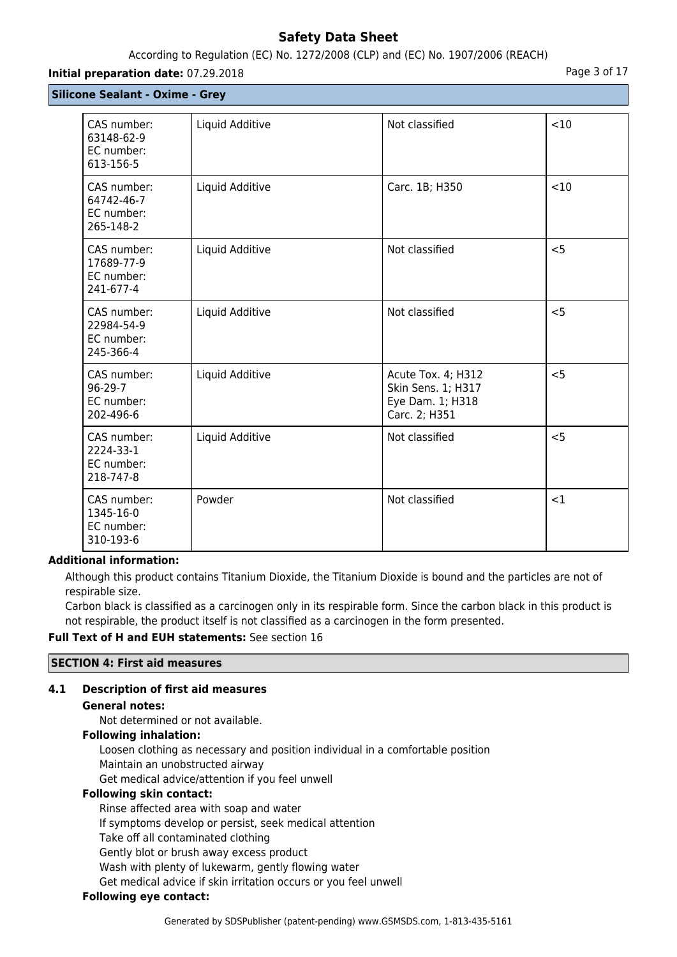# According to Regulation (EC) No. 1272/2008 (CLP) and (EC) No. 1907/2006 (REACH)

### **Initial preparation date:** 07.29.2018 **Page 3 of 17**

|  | <b>Silicone Sealant - Oxime - Grey</b> |  |  |
|--|----------------------------------------|--|--|
|--|----------------------------------------|--|--|

| CAS number:<br>63148-62-9<br>EC number:<br>613-156-5 | Liquid Additive | Not classified                                                                | $<$ 10 |
|------------------------------------------------------|-----------------|-------------------------------------------------------------------------------|--------|
| CAS number:<br>64742-46-7<br>EC number:<br>265-148-2 | Liquid Additive | Carc. 1B; H350                                                                | < 10   |
| CAS number:<br>17689-77-9<br>EC number:<br>241-677-4 | Liquid Additive | Not classified                                                                | < 5    |
| CAS number:<br>22984-54-9<br>EC number:<br>245-366-4 | Liquid Additive | Not classified                                                                | < 5    |
| CAS number:<br>$96-29-7$<br>EC number:<br>202-496-6  | Liquid Additive | Acute Tox. 4; H312<br>Skin Sens. 1; H317<br>Eye Dam. 1; H318<br>Carc. 2; H351 | $<$ 5  |
| CAS number:<br>2224-33-1<br>EC number:<br>218-747-8  | Liquid Additive | Not classified                                                                | $<$ 5  |
| CAS number:<br>1345-16-0<br>EC number:<br>310-193-6  | Powder          | Not classified                                                                | <1     |

## **Additional information:**

Although this product contains Titanium Dioxide, the Titanium Dioxide is bound and the particles are not of respirable size.

Carbon black is classified as a carcinogen only in its respirable form. Since the carbon black in this product is not respirable, the product itself is not classified as a carcinogen in the form presented.

#### **Full Text of H and EUH statements:** See section 16

#### **SECTION 4: First aid measures**

## **4.1 Description of first aid measures**

#### **General notes:**

Not determined or not available.

### **Following inhalation:**

Loosen clothing as necessary and position individual in a comfortable position Maintain an unobstructed airway

Get medical advice/attention if you feel unwell

### **Following skin contact:**

Rinse affected area with soap and water

If symptoms develop or persist, seek medical attention

Take off all contaminated clothing

Gently blot or brush away excess product

Wash with plenty of lukewarm, gently flowing water

Get medical advice if skin irritation occurs or you feel unwell

# **Following eye contact:**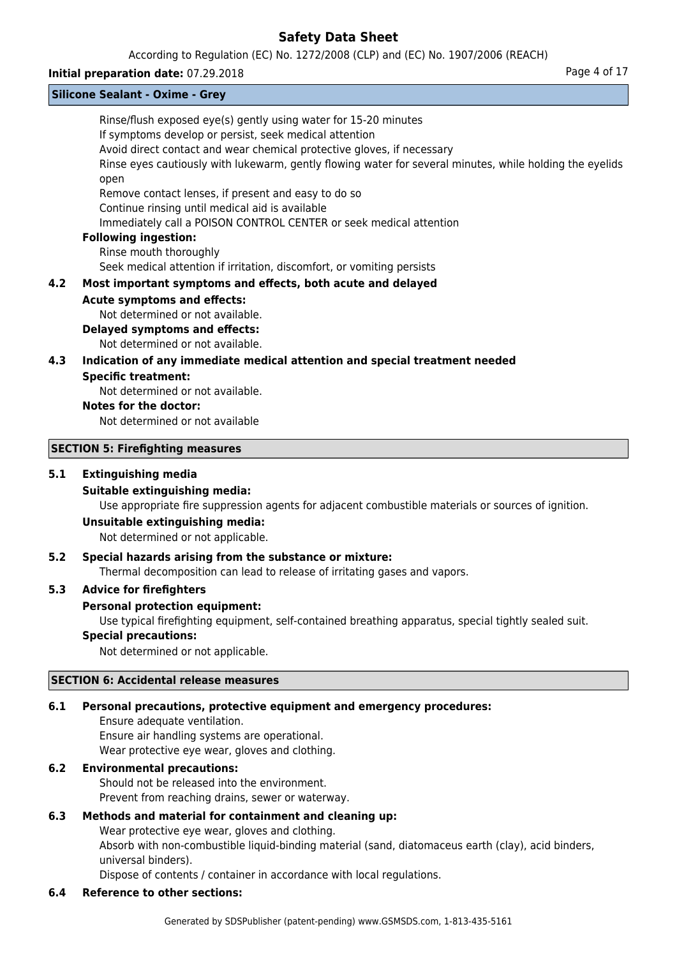According to Regulation (EC) No. 1272/2008 (CLP) and (EC) No. 1907/2006 (REACH)

#### **Initial preparation date:** 07.29.2018 **Page 4 of 17**

|     | <b>Silicone Sealant - Oxime - Grey</b>                                                                                                                                                                                                                                                                                                                                                                                                                                                                                                                           |
|-----|------------------------------------------------------------------------------------------------------------------------------------------------------------------------------------------------------------------------------------------------------------------------------------------------------------------------------------------------------------------------------------------------------------------------------------------------------------------------------------------------------------------------------------------------------------------|
|     | Rinse/flush exposed eye(s) gently using water for 15-20 minutes<br>If symptoms develop or persist, seek medical attention<br>Avoid direct contact and wear chemical protective gloves, if necessary<br>Rinse eyes cautiously with lukewarm, gently flowing water for several minutes, while holding the eyelids<br>open<br>Remove contact lenses, if present and easy to do so<br>Continue rinsing until medical aid is available<br>Immediately call a POISON CONTROL CENTER or seek medical attention<br><b>Following ingestion:</b><br>Rinse mouth thoroughly |
|     | Seek medical attention if irritation, discomfort, or vomiting persists                                                                                                                                                                                                                                                                                                                                                                                                                                                                                           |
| 4.2 | Most important symptoms and effects, both acute and delayed                                                                                                                                                                                                                                                                                                                                                                                                                                                                                                      |
|     | <b>Acute symptoms and effects:</b><br>Not determined or not available.<br><b>Delayed symptoms and effects:</b><br>Not determined or not available.                                                                                                                                                                                                                                                                                                                                                                                                               |
| 4.3 | Indication of any immediate medical attention and special treatment needed                                                                                                                                                                                                                                                                                                                                                                                                                                                                                       |
|     | <b>Specific treatment:</b><br>Not determined or not available.<br>Notes for the doctor:<br>Not determined or not available                                                                                                                                                                                                                                                                                                                                                                                                                                       |
|     | <b>SECTION 5: Firefighting measures</b>                                                                                                                                                                                                                                                                                                                                                                                                                                                                                                                          |
| 5.1 | <b>Extinguishing media</b><br><b>Suitable extinguishing media:</b><br>Use appropriate fire suppression agents for adjacent combustible materials or sources of ignition.<br>Unsuitable extinguishing media:                                                                                                                                                                                                                                                                                                                                                      |
|     | Not determined or not applicable.                                                                                                                                                                                                                                                                                                                                                                                                                                                                                                                                |

### **5.2 Special hazards arising from the substance or mixture:**

Thermal decomposition can lead to release of irritating gases and vapors.

### **5.3 Advice for firefighters**

#### **Personal protection equipment:**

Use typical firefighting equipment, self-contained breathing apparatus, special tightly sealed suit.

# **Special precautions:**

Not determined or not applicable.

### **SECTION 6: Accidental release measures**

# **6.1 Personal precautions, protective equipment and emergency procedures:**

Ensure adequate ventilation. Ensure air handling systems are operational. Wear protective eye wear, gloves and clothing.

## **6.2 Environmental precautions:**

Should not be released into the environment. Prevent from reaching drains, sewer or waterway.

# **6.3 Methods and material for containment and cleaning up:**

Wear protective eye wear, gloves and clothing.

Absorb with non-combustible liquid-binding material (sand, diatomaceus earth (clay), acid binders, universal binders).

Dispose of contents / container in accordance with local regulations.

# **6.4 Reference to other sections:**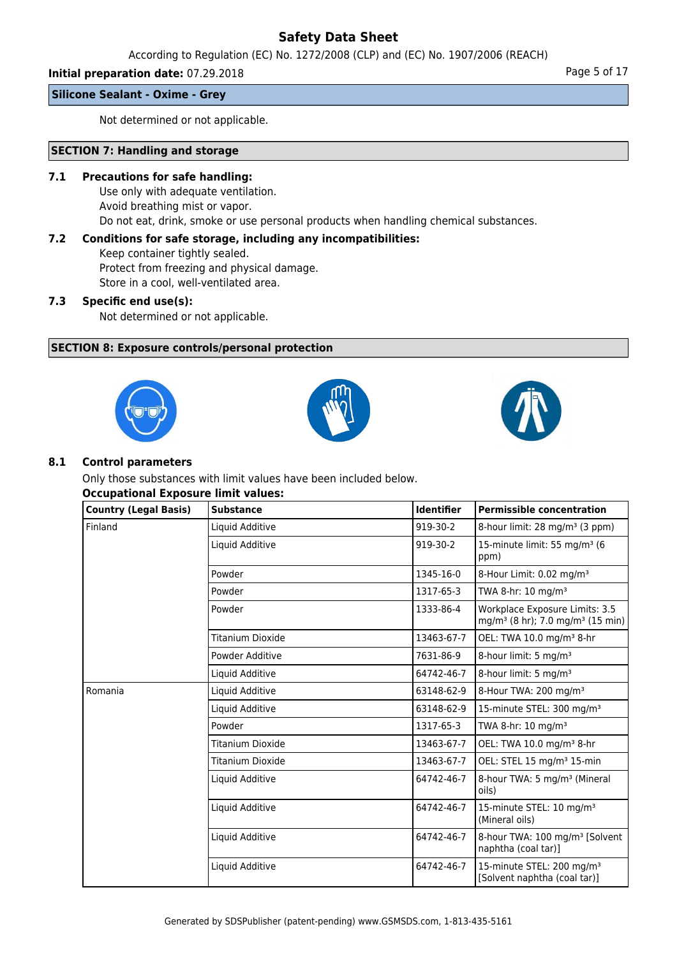According to Regulation (EC) No. 1272/2008 (CLP) and (EC) No. 1907/2006 (REACH)

# **Initial preparation date:** 07.29.2018 **Page 1 and 2018** Page 5 of 17

# **Silicone Sealant - Oxime - Grey**

Not determined or not applicable.

# **SECTION 7: Handling and storage**

### **7.1 Precautions for safe handling:**

Use only with adequate ventilation. Avoid breathing mist or vapor. Do not eat, drink, smoke or use personal products when handling chemical substances.

# **7.2 Conditions for safe storage, including any incompatibilities:**

Keep container tightly sealed. Protect from freezing and physical damage. Store in a cool, well-ventilated area.

## **7.3 Specific end use(s):**

Not determined or not applicable.

## **SECTION 8: Exposure controls/personal protection**







### **8.1 Control parameters**

Only those substances with limit values have been included below. **Occupational Exposure limit values:**

| <b>Country (Legal Basis)</b> | <b>Substance</b> | <b>Identifier</b> | <b>Permissible concentration</b>                                                           |
|------------------------------|------------------|-------------------|--------------------------------------------------------------------------------------------|
| Finland                      | Liquid Additive  | 919-30-2          | 8-hour limit: 28 mg/m <sup>3</sup> (3 ppm)                                                 |
|                              | Liquid Additive  | 919-30-2          | 15-minute limit: 55 mg/m <sup>3</sup> (6<br>ppm)                                           |
|                              | Powder           | 1345-16-0         | 8-Hour Limit: 0.02 mg/m <sup>3</sup>                                                       |
|                              | Powder           | 1317-65-3         | TWA 8-hr: $10 \text{ mg/m}^3$                                                              |
|                              | Powder           | 1333-86-4         | Workplace Exposure Limits: 3.5<br>mg/m <sup>3</sup> (8 hr); 7.0 mg/m <sup>3</sup> (15 min) |
|                              | Titanium Dioxide | 13463-67-7        | OEL: TWA 10.0 mg/m <sup>3</sup> 8-hr                                                       |
|                              | Powder Additive  | 7631-86-9         | 8-hour limit: 5 mg/m <sup>3</sup>                                                          |
|                              | Liquid Additive  | 64742-46-7        | 8-hour limit: 5 mg/m <sup>3</sup>                                                          |
| Romania                      | Liquid Additive  | 63148-62-9        | 8-Hour TWA: 200 mg/m <sup>3</sup>                                                          |
|                              | Liquid Additive  | 63148-62-9        | 15-minute STEL: 300 mg/m <sup>3</sup>                                                      |
|                              | Powder           | 1317-65-3         | TWA 8-hr: 10 mg/m <sup>3</sup>                                                             |
|                              | Titanium Dioxide | 13463-67-7        | OEL: TWA 10.0 mg/m <sup>3</sup> 8-hr                                                       |
|                              | Titanium Dioxide | 13463-67-7        | OEL: STEL 15 mg/m <sup>3</sup> 15-min                                                      |
|                              | Liquid Additive  | 64742-46-7        | 8-hour TWA: 5 mg/m <sup>3</sup> (Mineral<br>oils)                                          |
|                              | Liquid Additive  | 64742-46-7        | 15-minute STEL: 10 mg/m <sup>3</sup><br>(Mineral oils)                                     |
|                              | Liquid Additive  | 64742-46-7        | 8-hour TWA: 100 mg/m <sup>3</sup> [Solvent<br>naphtha (coal tar)]                          |
|                              | Liquid Additive  | 64742-46-7        | 15-minute STEL: 200 mg/m <sup>3</sup><br>[Solvent naphtha (coal tar)]                      |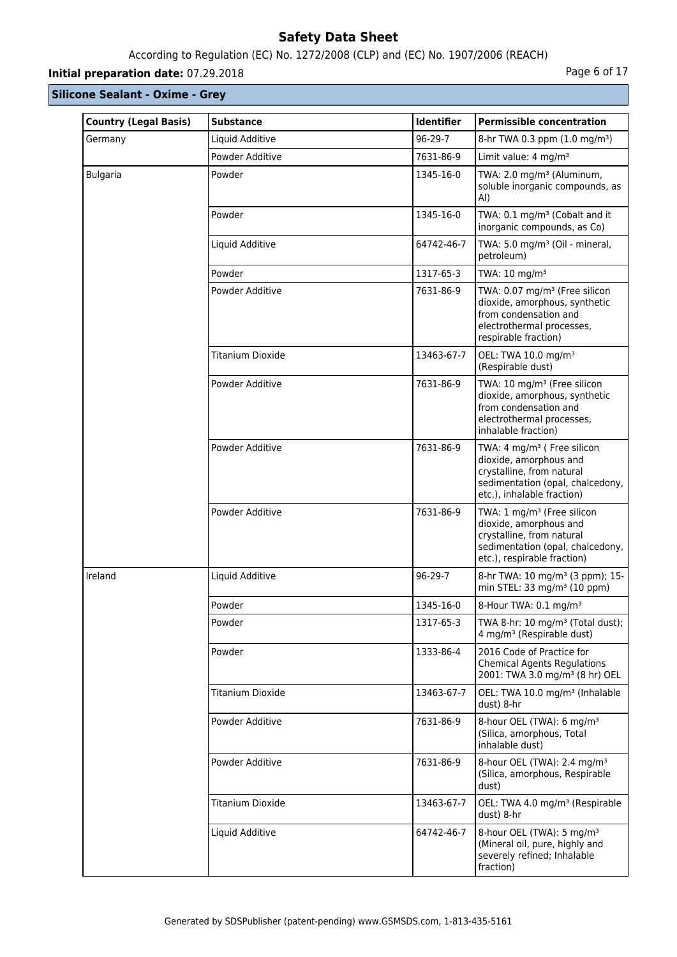# According to Regulation (EC) No. 1272/2008 (CLP) and (EC) No. 1907/2006 (REACH)

# **Initial preparation date:** 07.29.2018 **Page 6 of 17**

| <b>Country (Legal Basis)</b> | <b>Substance</b>        | Identifier | <b>Permissible concentration</b>                                                                                                                                 |
|------------------------------|-------------------------|------------|------------------------------------------------------------------------------------------------------------------------------------------------------------------|
| Germany                      | Liquid Additive         | 96-29-7    | 8-hr TWA 0.3 ppm (1.0 mg/m <sup>3</sup> )                                                                                                                        |
|                              | Powder Additive         | 7631-86-9  | Limit value: 4 mg/m <sup>3</sup>                                                                                                                                 |
| <b>Bulgaria</b>              | Powder                  | 1345-16-0  | TWA: 2.0 mg/m <sup>3</sup> (Aluminum,<br>soluble inorganic compounds, as<br>AI)                                                                                  |
|                              | Powder                  | 1345-16-0  | TWA: 0.1 mg/m <sup>3</sup> (Cobalt and it<br>inorganic compounds, as Co)                                                                                         |
|                              | Liquid Additive         | 64742-46-7 | TWA: 5.0 mg/m <sup>3</sup> (Oil - mineral,<br>petroleum)                                                                                                         |
|                              | Powder                  | 1317-65-3  | TWA: 10 mg/m <sup>3</sup>                                                                                                                                        |
|                              | Powder Additive         | 7631-86-9  | TWA: 0.07 mg/m <sup>3</sup> (Free silicon<br>dioxide, amorphous, synthetic<br>from condensation and<br>electrothermal processes,<br>respirable fraction)         |
|                              | <b>Titanium Dioxide</b> | 13463-67-7 | OEL: TWA 10.0 mg/m <sup>3</sup><br>(Respirable dust)                                                                                                             |
|                              | Powder Additive         | 7631-86-9  | TWA: 10 mg/m <sup>3</sup> (Free silicon<br>dioxide, amorphous, synthetic<br>from condensation and<br>electrothermal processes,<br>inhalable fraction)            |
|                              | Powder Additive         | 7631-86-9  | TWA: 4 mg/m <sup>3</sup> ( Free silicon<br>dioxide, amorphous and<br>crystalline, from natural<br>sedimentation (opal, chalcedony,<br>etc.), inhalable fraction) |
|                              | Powder Additive         | 7631-86-9  | TWA: 1 mg/m <sup>3</sup> (Free silicon<br>dioxide, amorphous and<br>crystalline, from natural<br>sedimentation (opal, chalcedony,<br>etc.), respirable fraction) |
| Ireland                      | Liquid Additive         | 96-29-7    | 8-hr TWA: 10 mg/m <sup>3</sup> (3 ppm); 15-<br>min STEL: 33 mg/m <sup>3</sup> (10 ppm)                                                                           |
|                              | Powder                  | 1345-16-0  | 8-Hour TWA: 0.1 mg/m <sup>3</sup>                                                                                                                                |
|                              | Powder                  | 1317-65-3  | TWA 8-hr: 10 mg/m <sup>3</sup> (Total dust);<br>4 mg/m <sup>3</sup> (Respirable dust)                                                                            |
|                              | Powder                  | 1333-86-4  | 2016 Code of Practice for<br><b>Chemical Agents Regulations</b><br>2001: TWA 3.0 mg/m <sup>3</sup> (8 hr) OEL                                                    |
|                              | <b>Titanium Dioxide</b> | 13463-67-7 | OEL: TWA 10.0 mg/m <sup>3</sup> (Inhalable<br>dust) 8-hr                                                                                                         |
|                              | Powder Additive         | 7631-86-9  | 8-hour OEL (TWA): 6 mg/m <sup>3</sup><br>(Silica, amorphous, Total<br>inhalable dust)                                                                            |
|                              | Powder Additive         | 7631-86-9  | 8-hour OEL (TWA): 2.4 mg/m <sup>3</sup><br>(Silica, amorphous, Respirable<br>dust)                                                                               |
|                              | <b>Titanium Dioxide</b> | 13463-67-7 | OEL: TWA 4.0 mg/m <sup>3</sup> (Respirable<br>dust) 8-hr                                                                                                         |
|                              | Liquid Additive         | 64742-46-7 | 8-hour OEL (TWA): 5 mg/m <sup>3</sup><br>(Mineral oil, pure, highly and<br>severely refined; Inhalable<br>fraction)                                              |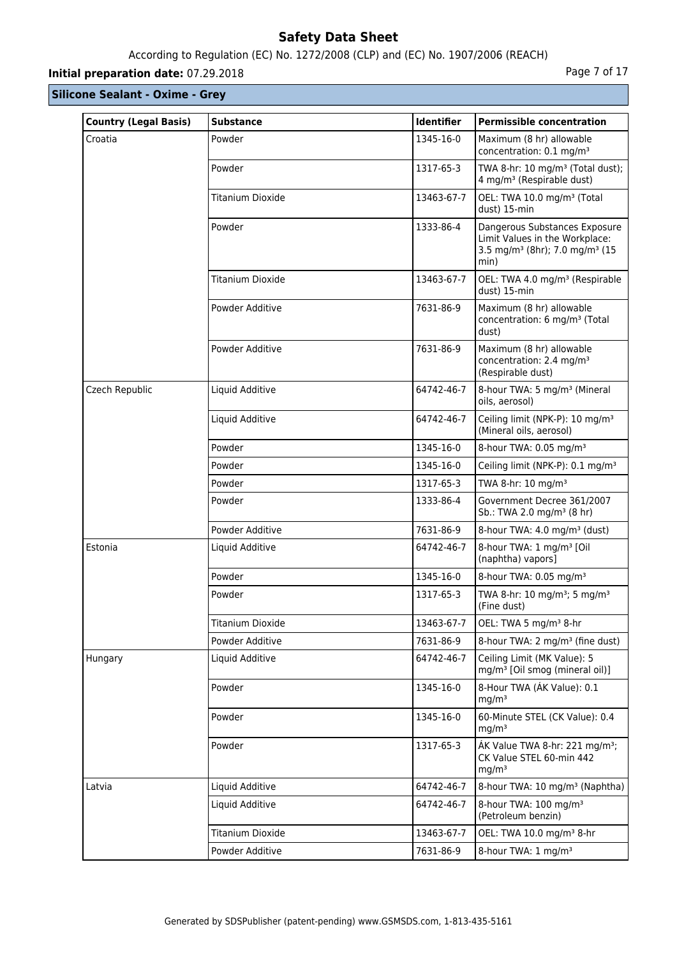# According to Regulation (EC) No. 1272/2008 (CLP) and (EC) No. 1907/2006 (REACH)

# **Initial preparation date:** 07.29.2018 **Page 7 of 17**

| <b>Country (Legal Basis)</b> | <b>Substance</b>        | Identifier | <b>Permissible concentration</b>                                                                                                  |
|------------------------------|-------------------------|------------|-----------------------------------------------------------------------------------------------------------------------------------|
| Croatia                      | Powder                  | 1345-16-0  | Maximum (8 hr) allowable<br>concentration: 0.1 mg/m <sup>3</sup>                                                                  |
|                              | Powder                  | 1317-65-3  | TWA 8-hr: 10 mg/m <sup>3</sup> (Total dust);<br>4 mg/m <sup>3</sup> (Respirable dust)                                             |
|                              | <b>Titanium Dioxide</b> | 13463-67-7 | OEL: TWA 10.0 mg/m <sup>3</sup> (Total<br>dust) 15-min                                                                            |
|                              | Powder                  | 1333-86-4  | Dangerous Substances Exposure<br>Limit Values in the Workplace:<br>3.5 mg/m <sup>3</sup> (8hr); 7.0 mg/m <sup>3</sup> (15<br>min) |
|                              | <b>Titanium Dioxide</b> | 13463-67-7 | OEL: TWA 4.0 mg/m <sup>3</sup> (Respirable<br>dust) 15-min                                                                        |
|                              | Powder Additive         | 7631-86-9  | Maximum (8 hr) allowable<br>concentration: 6 mg/m <sup>3</sup> (Total<br>dust)                                                    |
|                              | Powder Additive         | 7631-86-9  | Maximum (8 hr) allowable<br>concentration: 2.4 mg/m <sup>3</sup><br>(Respirable dust)                                             |
| Czech Republic               | Liquid Additive         | 64742-46-7 | 8-hour TWA: 5 mg/m <sup>3</sup> (Mineral<br>oils, aerosol)                                                                        |
|                              | Liquid Additive         | 64742-46-7 | Ceiling limit (NPK-P): 10 mg/m <sup>3</sup><br>(Mineral oils, aerosol)                                                            |
|                              | Powder                  | 1345-16-0  | 8-hour TWA: 0.05 mg/m <sup>3</sup>                                                                                                |
|                              | Powder                  | 1345-16-0  | Ceiling limit (NPK-P): 0.1 mg/m <sup>3</sup>                                                                                      |
|                              | Powder                  | 1317-65-3  | TWA 8-hr: 10 mg/m <sup>3</sup>                                                                                                    |
|                              | Powder                  | 1333-86-4  | Government Decree 361/2007<br>Sb.: TWA 2.0 mg/m <sup>3</sup> (8 hr)                                                               |
|                              | Powder Additive         | 7631-86-9  | 8-hour TWA: 4.0 mg/m <sup>3</sup> (dust)                                                                                          |
| Estonia                      | Liquid Additive         | 64742-46-7 | 8-hour TWA: 1 mg/m <sup>3</sup> [Oil<br>(naphtha) vapors]                                                                         |
|                              | Powder                  | 1345-16-0  | 8-hour TWA: 0.05 mg/m <sup>3</sup>                                                                                                |
|                              | Powder                  | 1317-65-3  | TWA 8-hr: 10 mg/m <sup>3</sup> ; 5 mg/m <sup>3</sup><br>(Fine dust)                                                               |
|                              | <b>Titanium Dioxide</b> | 13463-67-7 | OEL: TWA 5 mg/m <sup>3</sup> 8-hr                                                                                                 |
|                              | Powder Additive         | 7631-86-9  | 8-hour TWA: 2 mg/m <sup>3</sup> (fine dust)                                                                                       |
| Hungary                      | Liquid Additive         | 64742-46-7 | Ceiling Limit (MK Value): 5<br>mg/m <sup>3</sup> [Oil smog (mineral oil)]                                                         |
|                              | Powder                  | 1345-16-0  | 8-Hour TWA (AK Value): 0.1<br>mg/m <sup>3</sup>                                                                                   |
|                              | Powder                  | 1345-16-0  | 60-Minute STEL (CK Value): 0.4<br>mg/m <sup>3</sup>                                                                               |
|                              | Powder                  | 1317-65-3  | ÁK Value TWA 8-hr: 221 mg/m <sup>3</sup> ;<br>CK Value STEL 60-min 442<br>mg/m <sup>3</sup>                                       |
| Latvia                       | Liquid Additive         | 64742-46-7 | 8-hour TWA: 10 mg/m <sup>3</sup> (Naphtha)                                                                                        |
|                              | Liquid Additive         | 64742-46-7 | 8-hour TWA: 100 mg/m <sup>3</sup><br>(Petroleum benzin)                                                                           |
|                              | <b>Titanium Dioxide</b> | 13463-67-7 | OEL: TWA 10.0 mg/m <sup>3</sup> 8-hr                                                                                              |
|                              | Powder Additive         | 7631-86-9  | 8-hour TWA: 1 mg/m <sup>3</sup>                                                                                                   |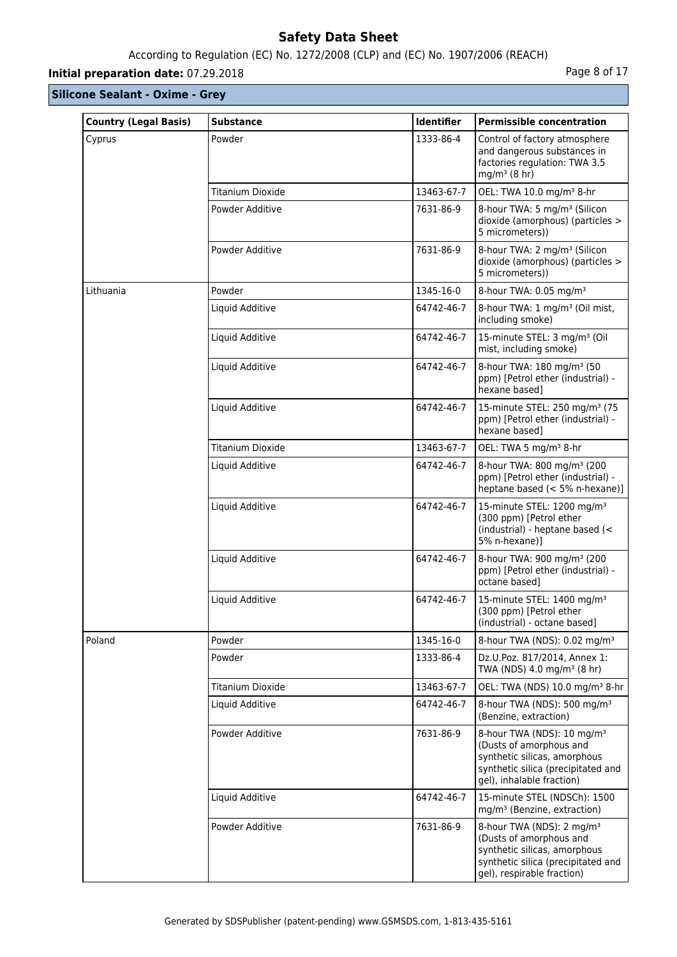# According to Regulation (EC) No. 1272/2008 (CLP) and (EC) No. 1907/2006 (REACH)

# **Initial preparation date:** 07.29.2018 **Page 8 of 17**

| <b>Country (Legal Basis)</b> | <b>Substance</b>        | Identifier | <b>Permissible concentration</b>                                                                                                                                     |
|------------------------------|-------------------------|------------|----------------------------------------------------------------------------------------------------------------------------------------------------------------------|
| Cyprus                       | Powder                  | 1333-86-4  | Control of factory atmosphere<br>and dangerous substances in<br>factories regulation: TWA 3.5<br>mg/ $m^3$ (8 hr)                                                    |
|                              | <b>Titanium Dioxide</b> | 13463-67-7 | OEL: TWA 10.0 mg/m <sup>3</sup> 8-hr                                                                                                                                 |
|                              | Powder Additive         | 7631-86-9  | 8-hour TWA: 5 mg/m <sup>3</sup> (Silicon<br>dioxide (amorphous) (particles ><br>5 micrometers))                                                                      |
|                              | Powder Additive         | 7631-86-9  | 8-hour TWA: 2 mg/m <sup>3</sup> (Silicon<br>dioxide (amorphous) (particles ><br>5 micrometers))                                                                      |
| Lithuania                    | Powder                  | 1345-16-0  | 8-hour TWA: 0.05 mg/m <sup>3</sup>                                                                                                                                   |
|                              | Liquid Additive         | 64742-46-7 | 8-hour TWA: 1 mg/m <sup>3</sup> (Oil mist,<br>including smoke)                                                                                                       |
|                              | Liquid Additive         | 64742-46-7 | 15-minute STEL: 3 mg/m <sup>3</sup> (Oil<br>mist, including smoke)                                                                                                   |
|                              | Liquid Additive         | 64742-46-7 | 8-hour TWA: 180 mg/m <sup>3</sup> (50<br>ppm) [Petrol ether (industrial) -<br>hexane based1                                                                          |
|                              | Liquid Additive         | 64742-46-7 | 15-minute STEL: 250 mg/m <sup>3</sup> (75<br>ppm) [Petrol ether (industrial) -<br>hexane based1                                                                      |
|                              | <b>Titanium Dioxide</b> | 13463-67-7 | OEL: TWA 5 mg/m <sup>3</sup> 8-hr                                                                                                                                    |
|                              | Liquid Additive         | 64742-46-7 | 8-hour TWA: 800 mg/m <sup>3</sup> (200<br>ppm) [Petrol ether (industrial) -<br>heptane based (< 5% n-hexane)]                                                        |
|                              | Liquid Additive         | 64742-46-7 | 15-minute STEL: 1200 mg/m <sup>3</sup><br>(300 ppm) [Petrol ether<br>(industrial) - heptane based (<<br>5% n-hexane)]                                                |
|                              | Liquid Additive         | 64742-46-7 | 8-hour TWA: 900 mg/m <sup>3</sup> (200<br>ppm) [Petrol ether (industrial) -<br>octane based]                                                                         |
|                              | Liquid Additive         | 64742-46-7 | 15-minute STEL: 1400 mg/m <sup>3</sup><br>(300 ppm) [Petrol ether<br>(industrial) - octane based]                                                                    |
| Poland                       | Powder                  | 1345-16-0  | 8-hour TWA (NDS): 0.02 mg/m <sup>3</sup>                                                                                                                             |
|                              | Powder                  | 1333-86-4  | Dz.U.Poz. 817/2014, Annex 1:<br>TWA (NDS) 4.0 mg/m <sup>3</sup> (8 hr)                                                                                               |
|                              | <b>Titanium Dioxide</b> | 13463-67-7 | OEL: TWA (NDS) 10.0 mg/m <sup>3</sup> 8-hr                                                                                                                           |
|                              | Liquid Additive         | 64742-46-7 | 8-hour TWA (NDS): 500 mg/m <sup>3</sup><br>(Benzine, extraction)                                                                                                     |
|                              | Powder Additive         | 7631-86-9  | 8-hour TWA (NDS): 10 mg/m <sup>3</sup><br>(Dusts of amorphous and<br>synthetic silicas, amorphous<br>synthetic silica (precipitated and<br>gel), inhalable fraction) |
|                              | Liquid Additive         | 64742-46-7 | 15-minute STEL (NDSCh): 1500<br>mg/m <sup>3</sup> (Benzine, extraction)                                                                                              |
|                              | Powder Additive         | 7631-86-9  | 8-hour TWA (NDS): 2 mg/m <sup>3</sup><br>(Dusts of amorphous and<br>synthetic silicas, amorphous<br>synthetic silica (precipitated and<br>gel), respirable fraction) |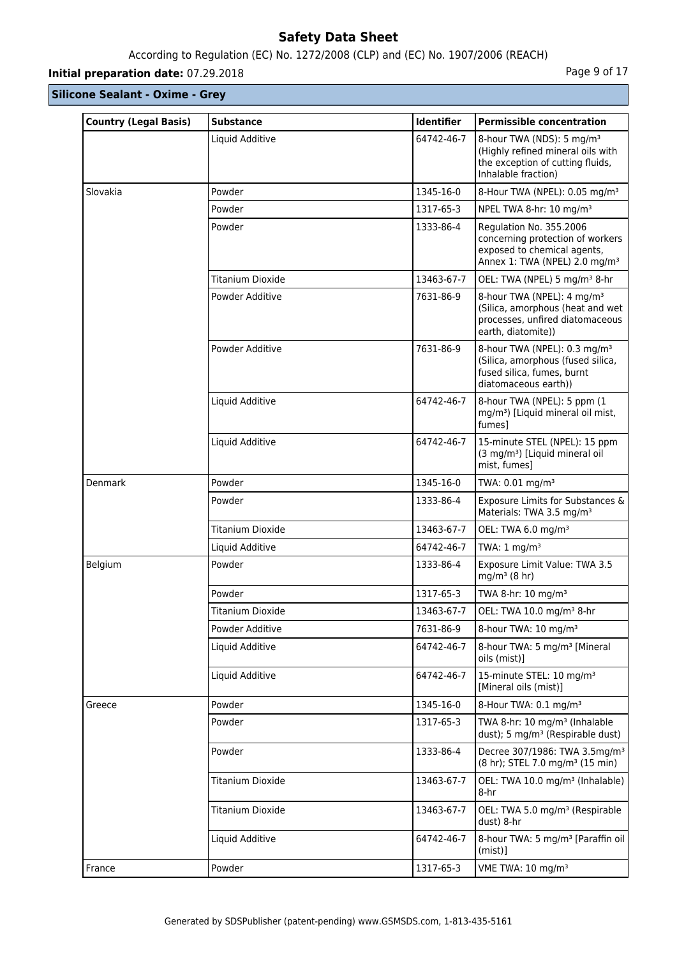# According to Regulation (EC) No. 1272/2008 (CLP) and (EC) No. 1907/2006 (REACH)

# **Initial preparation date:** 07.29.2018 **Page 9 of 17**

| <b>Country (Legal Basis)</b> | <b>Substance</b>        | <b>Identifier</b> | <b>Permissible concentration</b>                                                                                                        |
|------------------------------|-------------------------|-------------------|-----------------------------------------------------------------------------------------------------------------------------------------|
|                              | Liquid Additive         | 64742-46-7        | 8-hour TWA (NDS): 5 mg/m <sup>3</sup><br>(Highly refined mineral oils with<br>the exception of cutting fluids,<br>Inhalable fraction)   |
| Slovakia                     | Powder                  | 1345-16-0         | 8-Hour TWA (NPEL): 0.05 mg/m <sup>3</sup>                                                                                               |
|                              | Powder                  | 1317-65-3         | NPEL TWA 8-hr: 10 mg/m <sup>3</sup>                                                                                                     |
|                              | Powder                  | 1333-86-4         | Regulation No. 355.2006<br>concerning protection of workers<br>exposed to chemical agents,<br>Annex 1: TWA (NPEL) 2.0 mg/m <sup>3</sup> |
|                              | <b>Titanium Dioxide</b> | 13463-67-7        | OEL: TWA (NPEL) 5 mg/m <sup>3</sup> 8-hr                                                                                                |
|                              | Powder Additive         | 7631-86-9         | 8-hour TWA (NPEL): 4 mg/m <sup>3</sup><br>(Silica, amorphous (heat and wet<br>processes, unfired diatomaceous<br>earth, diatomite))     |
|                              | Powder Additive         | 7631-86-9         | 8-hour TWA (NPEL): 0.3 mg/m <sup>3</sup><br>(Silica, amorphous (fused silica,<br>fused silica, fumes, burnt<br>diatomaceous earth))     |
|                              | Liquid Additive         | 64742-46-7        | 8-hour TWA (NPEL): 5 ppm (1)<br>mg/m <sup>3</sup> ) [Liquid mineral oil mist,<br>fumesl                                                 |
|                              | Liquid Additive         | 64742-46-7        | 15-minute STEL (NPEL): 15 ppm<br>(3 mg/m <sup>3</sup> ) [Liquid mineral oil<br>mist, fumes]                                             |
| Denmark                      | Powder                  | 1345-16-0         | TWA: 0.01 mg/m <sup>3</sup>                                                                                                             |
|                              | Powder                  | 1333-86-4         | Exposure Limits for Substances &<br>Materials: TWA 3.5 mg/m <sup>3</sup>                                                                |
|                              | <b>Titanium Dioxide</b> | 13463-67-7        | OEL: TWA 6.0 mg/m <sup>3</sup>                                                                                                          |
|                              | Liquid Additive         | 64742-46-7        | TWA: $1 \text{ mg/m}^3$                                                                                                                 |
| Belgium                      | Powder                  | 1333-86-4         | Exposure Limit Value: TWA 3.5<br>$mq/m^3$ (8 hr)                                                                                        |
|                              | Powder                  | 1317-65-3         | TWA 8-hr: 10 mg/m <sup>3</sup>                                                                                                          |
|                              | Titanium Dioxide        | 13463-67-7        | OEL: TWA 10.0 mg/m <sup>3</sup> 8-hr                                                                                                    |
|                              | Powder Additive         | 7631-86-9         | 8-hour TWA: 10 mg/m <sup>3</sup>                                                                                                        |
|                              | Liquid Additive         | 64742-46-7        | 8-hour TWA: 5 mg/m <sup>3</sup> [Mineral<br>oils (mist)]                                                                                |
|                              | Liquid Additive         | 64742-46-7        | 15-minute STEL: 10 mg/m <sup>3</sup><br>[Mineral oils (mist)]                                                                           |
| Greece                       | Powder                  | 1345-16-0         | 8-Hour TWA: 0.1 mg/m <sup>3</sup>                                                                                                       |
|                              | Powder                  | 1317-65-3         | TWA 8-hr: 10 mg/m <sup>3</sup> (Inhalable<br>dust); 5 mg/m <sup>3</sup> (Respirable dust)                                               |
|                              | Powder                  | 1333-86-4         | Decree 307/1986: TWA 3.5mg/m <sup>3</sup><br>(8 hr); STEL 7.0 mg/m <sup>3</sup> (15 min)                                                |
|                              | Titanium Dioxide        | 13463-67-7        | OEL: TWA 10.0 mg/m <sup>3</sup> (Inhalable)<br>8-hr                                                                                     |
|                              | <b>Titanium Dioxide</b> | 13463-67-7        | OEL: TWA 5.0 mg/m <sup>3</sup> (Respirable<br>dust) 8-hr                                                                                |
|                              | Liquid Additive         | 64742-46-7        | 8-hour TWA: 5 mg/m <sup>3</sup> [Paraffin oil]<br>$(mist)$ ]                                                                            |
| France                       | Powder                  | 1317-65-3         | VME TWA: 10 mg/m <sup>3</sup>                                                                                                           |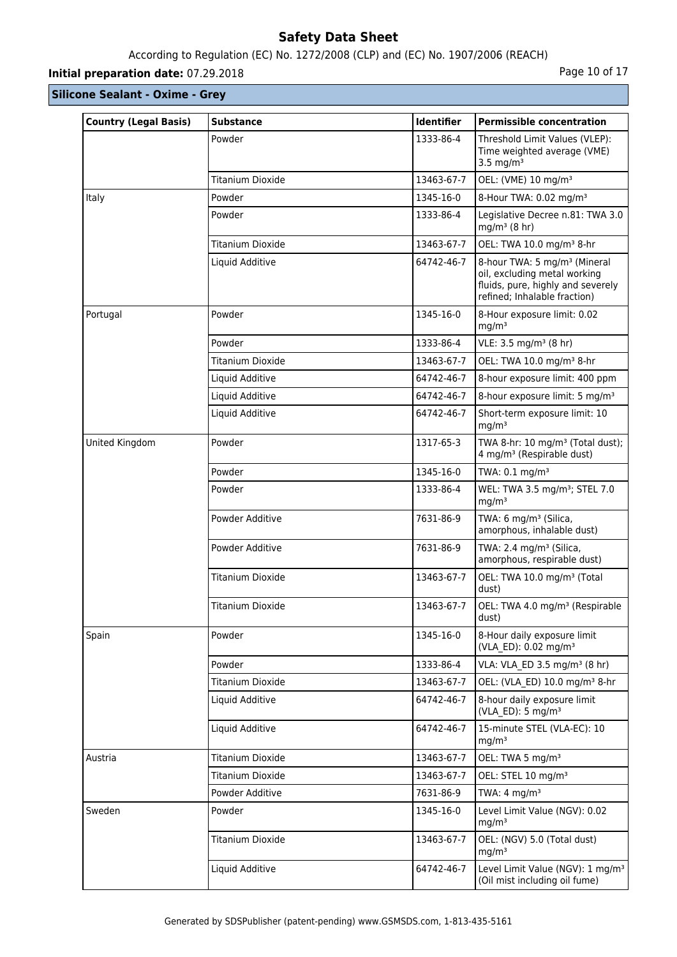# According to Regulation (EC) No. 1272/2008 (CLP) and (EC) No. 1907/2006 (REACH)

# **Initial preparation date:** 07.29.2018 **Page 10 of 17 Page 10 of 17**

| <b>Country (Legal Basis)</b> | <b>Substance</b>        | <b>Identifier</b> | <b>Permissible concentration</b>                                                                                                              |
|------------------------------|-------------------------|-------------------|-----------------------------------------------------------------------------------------------------------------------------------------------|
|                              | Powder                  | 1333-86-4         | Threshold Limit Values (VLEP):<br>Time weighted average (VME)<br>3.5 mg/m <sup>3</sup>                                                        |
|                              | <b>Titanium Dioxide</b> | 13463-67-7        | OEL: (VME) 10 mg/m <sup>3</sup>                                                                                                               |
| Italy                        | Powder                  | 1345-16-0         | 8-Hour TWA: 0.02 mg/m <sup>3</sup>                                                                                                            |
|                              | Powder                  | 1333-86-4         | Legislative Decree n.81: TWA 3.0<br>$mq/m^3$ (8 hr)                                                                                           |
|                              | <b>Titanium Dioxide</b> | 13463-67-7        | OEL: TWA 10.0 mg/m <sup>3</sup> 8-hr                                                                                                          |
|                              | Liquid Additive         | 64742-46-7        | 8-hour TWA: 5 mg/m <sup>3</sup> (Mineral<br>oil, excluding metal working<br>fluids, pure, highly and severely<br>refined; Inhalable fraction) |
| Portugal                     | Powder                  | 1345-16-0         | 8-Hour exposure limit: 0.02<br>mg/m <sup>3</sup>                                                                                              |
|                              | Powder                  | 1333-86-4         | VLE: 3.5 mg/m <sup>3</sup> (8 hr)                                                                                                             |
|                              | <b>Titanium Dioxide</b> | 13463-67-7        | OEL: TWA 10.0 mg/m <sup>3</sup> 8-hr                                                                                                          |
|                              | Liquid Additive         | 64742-46-7        | 8-hour exposure limit: 400 ppm                                                                                                                |
|                              | Liquid Additive         | 64742-46-7        | 8-hour exposure limit: 5 mg/m <sup>3</sup>                                                                                                    |
|                              | Liquid Additive         | 64742-46-7        | Short-term exposure limit: 10<br>mq/m <sup>3</sup>                                                                                            |
| United Kingdom               | Powder                  | 1317-65-3         | TWA 8-hr: 10 mg/m <sup>3</sup> (Total dust);<br>4 mg/m <sup>3</sup> (Respirable dust)                                                         |
|                              | Powder                  | 1345-16-0         | TWA: 0.1 mg/m <sup>3</sup>                                                                                                                    |
|                              | Powder                  | 1333-86-4         | WEL: TWA 3.5 mg/m <sup>3</sup> ; STEL 7.0<br>mg/m <sup>3</sup>                                                                                |
|                              | Powder Additive         | 7631-86-9         | TWA: 6 mg/m <sup>3</sup> (Silica,<br>amorphous, inhalable dust)                                                                               |
|                              | Powder Additive         | 7631-86-9         | TWA: 2.4 mg/m <sup>3</sup> (Silica,<br>amorphous, respirable dust)                                                                            |
|                              | <b>Titanium Dioxide</b> | 13463-67-7        | OEL: TWA 10.0 mg/m <sup>3</sup> (Total<br>dust)                                                                                               |
|                              | <b>Titanium Dioxide</b> | 13463-67-7        | OEL: TWA 4.0 mg/m <sup>3</sup> (Respirable<br>dust)                                                                                           |
| Spain                        | Powder                  | 1345-16-0         | 8-Hour daily exposure limit<br>(VLA ED): 0.02 mg/m <sup>3</sup>                                                                               |
|                              | Powder                  | 1333-86-4         | VLA: VLA ED 3.5 mg/m <sup>3</sup> (8 hr)                                                                                                      |
|                              | Titanium Dioxide        | 13463-67-7        | OEL: (VLA ED) 10.0 mg/m <sup>3</sup> 8-hr                                                                                                     |
|                              | Liquid Additive         | 64742-46-7        | 8-hour daily exposure limit<br>(VLA ED): $5 \text{ mg/m}^3$                                                                                   |
|                              | Liquid Additive         | 64742-46-7        | 15-minute STEL (VLA-EC): 10<br>mg/m <sup>3</sup>                                                                                              |
| Austria                      | <b>Titanium Dioxide</b> | 13463-67-7        | OEL: TWA 5 mg/m <sup>3</sup>                                                                                                                  |
|                              | Titanium Dioxide        | 13463-67-7        | OEL: STEL 10 mg/m <sup>3</sup>                                                                                                                |
|                              | Powder Additive         | 7631-86-9         | TWA: $4 \text{ mg/m}^3$                                                                                                                       |
| Sweden                       | Powder                  | 1345-16-0         | Level Limit Value (NGV): 0.02<br>mg/m <sup>3</sup>                                                                                            |
|                              | Titanium Dioxide        | 13463-67-7        | OEL: (NGV) 5.0 (Total dust)<br>mg/m <sup>3</sup>                                                                                              |
|                              | Liquid Additive         | 64742-46-7        | Level Limit Value (NGV): 1 mg/m <sup>3</sup><br>(Oil mist including oil fume)                                                                 |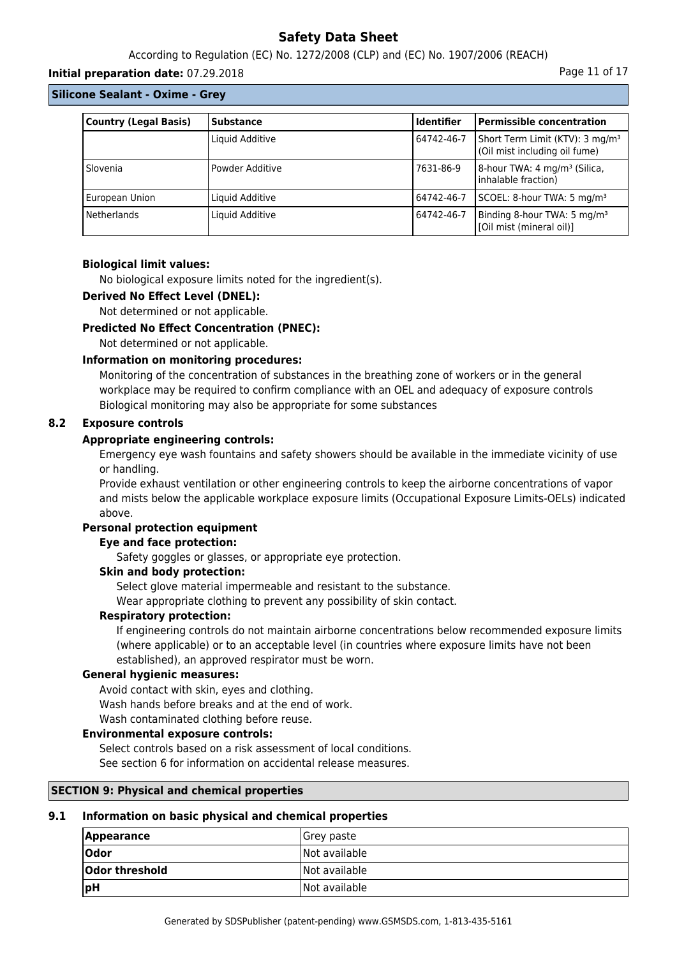According to Regulation (EC) No. 1272/2008 (CLP) and (EC) No. 1907/2006 (REACH)

#### **Initial preparation date:** 07.29.2018 **Page 11 of 17** and the page 11 of 17

#### **Silicone Sealant - Oxime - Grey**

| <b>Country (Legal Basis)</b> | <b>Substance</b> | <b>Identifier</b> | <b>Permissible concentration</b>                                             |
|------------------------------|------------------|-------------------|------------------------------------------------------------------------------|
|                              | Liquid Additive  | 64742-46-7        | Short Term Limit (KTV): 3 mg/m <sup>3</sup><br>(Oil mist including oil fume) |
| Slovenia                     | Powder Additive  | 7631-86-9         | 8-hour TWA: 4 mg/m <sup>3</sup> (Silica,<br>linhalable fraction)             |
| European Union               | Liquid Additive  | 64742-46-7        | SCOEL: 8-hour TWA: 5 mg/m <sup>3</sup>                                       |
| <b>Netherlands</b>           | Liquid Additive  | 64742-46-7        | Binding 8-hour TWA: 5 mg/m <sup>3</sup><br>[Oil mist (mineral oil)]          |

#### **Biological limit values:**

No biological exposure limits noted for the ingredient(s).

#### **Derived No Effect Level (DNEL):**

Not determined or not applicable.

#### **Predicted No Effect Concentration (PNEC):**

Not determined or not applicable.

#### **Information on monitoring procedures:**

Monitoring of the concentration of substances in the breathing zone of workers or in the general workplace may be required to confirm compliance with an OEL and adequacy of exposure controls Biological monitoring may also be appropriate for some substances

#### **8.2 Exposure controls**

#### **Appropriate engineering controls:**

Emergency eye wash fountains and safety showers should be available in the immediate vicinity of use or handling.

Provide exhaust ventilation or other engineering controls to keep the airborne concentrations of vapor and mists below the applicable workplace exposure limits (Occupational Exposure Limits-OELs) indicated above.

## **Personal protection equipment**

### **Eye and face protection:**

Safety goggles or glasses, or appropriate eye protection.

#### **Skin and body protection:**

Select glove material impermeable and resistant to the substance.

Wear appropriate clothing to prevent any possibility of skin contact.

#### **Respiratory protection:**

If engineering controls do not maintain airborne concentrations below recommended exposure limits (where applicable) or to an acceptable level (in countries where exposure limits have not been established), an approved respirator must be worn.

#### **General hygienic measures:**

Avoid contact with skin, eyes and clothing. Wash hands before breaks and at the end of work. Wash contaminated clothing before reuse.

#### **Environmental exposure controls:**

Select controls based on a risk assessment of local conditions.

See section 6 for information on accidental release measures.

#### **SECTION 9: Physical and chemical properties**

#### **9.1 Information on basic physical and chemical properties**

| <b>Appearance</b> | Grey paste           |
|-------------------|----------------------|
| <b>Odor</b>       | <b>Not available</b> |
| Odor threshold    | Not available        |
| ∣pH               | Not available        |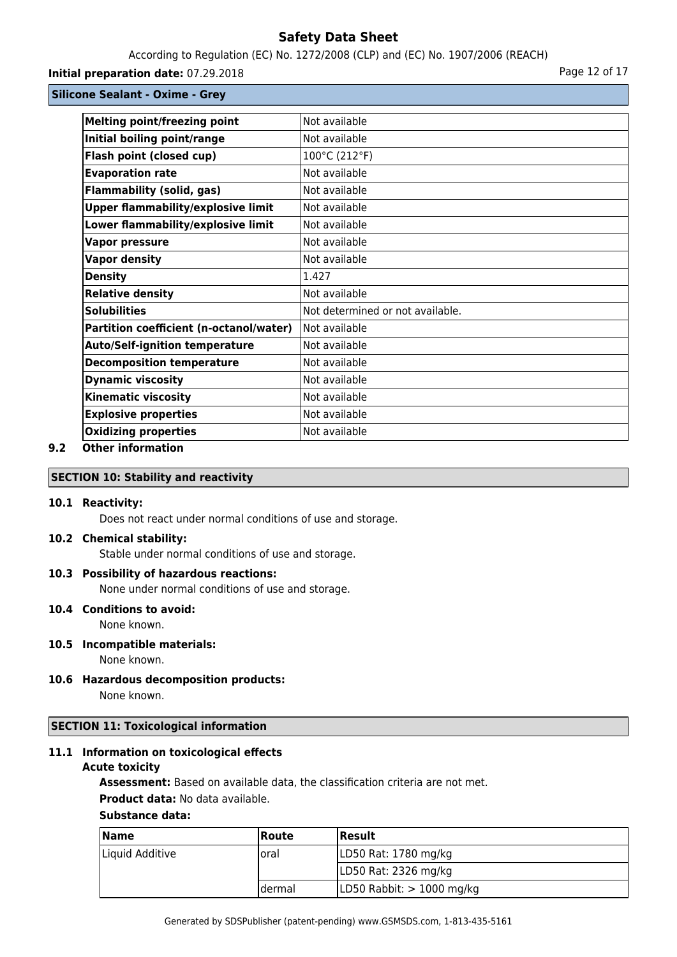According to Regulation (EC) No. 1272/2008 (CLP) and (EC) No. 1907/2006 (REACH)

**Initial preparation date:** 07.29.2018 **Page 12 of 17** Page 12 of 17

**Silicone Sealant - Oxime - Grey**

| <b>Melting point/freezing point</b>       | Not available                    |
|-------------------------------------------|----------------------------------|
| Initial boiling point/range               | Not available                    |
| Flash point (closed cup)                  | 100°C (212°F)                    |
| <b>Evaporation rate</b>                   | Not available                    |
| <b>Flammability (solid, gas)</b>          | Not available                    |
| <b>Upper flammability/explosive limit</b> | Not available                    |
| Lower flammability/explosive limit        | Not available                    |
| <b>Vapor pressure</b>                     | Not available                    |
| <b>Vapor density</b>                      | Not available                    |
| <b>Density</b>                            | 1.427                            |
| <b>Relative density</b>                   | Not available                    |
| <b>Solubilities</b>                       | Not determined or not available. |
| Partition coefficient (n-octanol/water)   | Not available                    |
| <b>Auto/Self-ignition temperature</b>     | Not available                    |
| <b>Decomposition temperature</b>          | Not available                    |
| <b>Dynamic viscosity</b>                  | Not available                    |
| <b>Kinematic viscosity</b>                | Not available                    |
| <b>Explosive properties</b>               | Not available                    |
| <b>Oxidizing properties</b>               | Not available                    |
|                                           |                                  |

# **9.2 Other information**

# **SECTION 10: Stability and reactivity**

#### **10.1 Reactivity:**

Does not react under normal conditions of use and storage.

#### **10.2 Chemical stability:**

Stable under normal conditions of use and storage.

#### **10.3 Possibility of hazardous reactions:**

None under normal conditions of use and storage.

### **10.4 Conditions to avoid:**

None known.

# **10.5 Incompatible materials:**

None known.

**10.6 Hazardous decomposition products:** None known.

### **SECTION 11: Toxicological information**

# **11.1 Information on toxicological effects**

#### **Acute toxicity**

**Assessment:** Based on available data, the classification criteria are not met.

### **Product data:** No data available.

#### **Substance data:**

| <b>Name</b>     | <b>Route</b> | <b>Result</b>               |
|-----------------|--------------|-----------------------------|
| Liquid Additive | loral        | LD50 Rat: 1780 mg/kg        |
|                 |              | LD50 Rat: 2326 mg/kg        |
|                 | Idermal      | LD50 Rabbit: $> 1000$ mg/kg |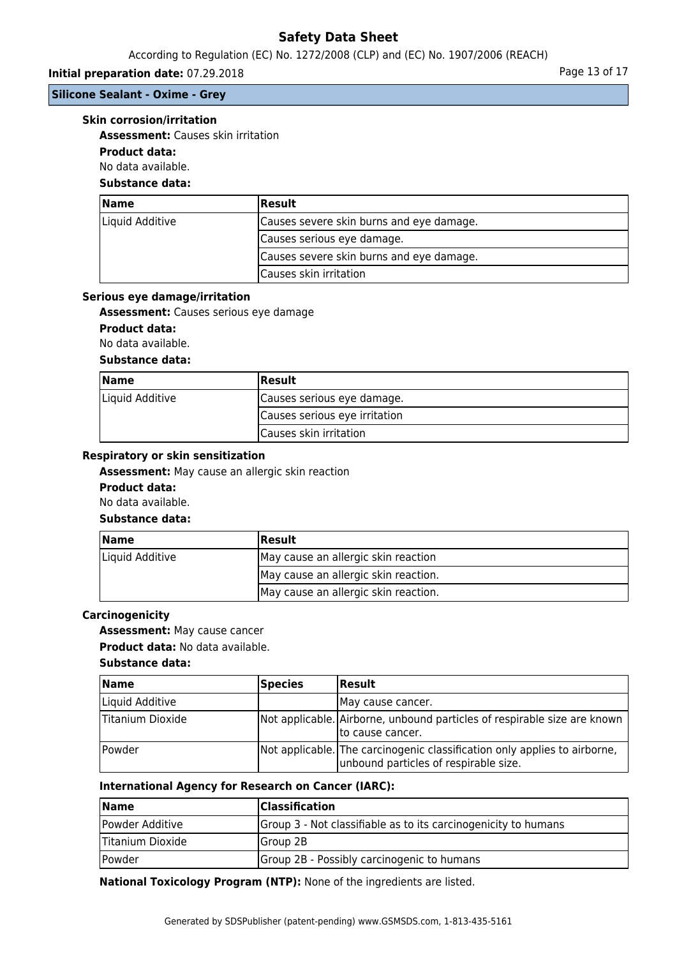### According to Regulation (EC) No. 1272/2008 (CLP) and (EC) No. 1907/2006 (REACH)

# **Initial preparation date:** 07.29.2018 **Page 13 of 17 Page 13 of 17**

# **Silicone Sealant - Oxime - Grey**

#### **Skin corrosion/irritation**

**Assessment:** Causes skin irritation

# **Product data:**

No data available.

# **Substance data:**

| Name            | <b>Result</b>                            |
|-----------------|------------------------------------------|
| Liquid Additive | Causes severe skin burns and eye damage. |
|                 | Causes serious eye damage.               |
|                 | Causes severe skin burns and eye damage. |
|                 | Causes skin irritation                   |

#### **Serious eye damage/irritation**

**Assessment:** Causes serious eye damage

### **Product data:**

No data available.

### **Substance data:**

| <b>Name</b>     | <b>Result</b>                 |
|-----------------|-------------------------------|
| Liquid Additive | Causes serious eye damage.    |
|                 | Causes serious eye irritation |
|                 | Causes skin irritation        |

#### **Respiratory or skin sensitization**

**Assessment:** May cause an allergic skin reaction

#### **Product data:**

No data available.

### **Substance data:**

| <b>Name</b>     | <b>Result</b>                        |
|-----------------|--------------------------------------|
| Liquid Additive | May cause an allergic skin reaction  |
|                 | May cause an allergic skin reaction. |
|                 | May cause an allergic skin reaction. |

### **Carcinogenicity**

**Assessment:** May cause cancer

**Product data:** No data available.

#### **Substance data:**

| <b>Name</b>                 | Species | <b>Result</b>                                                                                                      |
|-----------------------------|---------|--------------------------------------------------------------------------------------------------------------------|
| Liquid Additive             |         | IMay cause cancer.                                                                                                 |
| Titanium Dioxide            |         | Not applicable. Airborne, unbound particles of respirable size are known<br>Ito cause cancer.                      |
| <i><u><b>Powder</b></u></i> |         | Not applicable. The carcinogenic classification only applies to airborne,<br>unbound particles of respirable size. |

#### **International Agency for Research on Cancer (IARC):**

| <b>Name</b>      | Classification                                                 |
|------------------|----------------------------------------------------------------|
| Powder Additive  | Group 3 - Not classifiable as to its carcinogenicity to humans |
| Titanium Dioxide | lGroup 2B                                                      |
| Powder           | Group 2B - Possibly carcinogenic to humans                     |

**National Toxicology Program (NTP):** None of the ingredients are listed.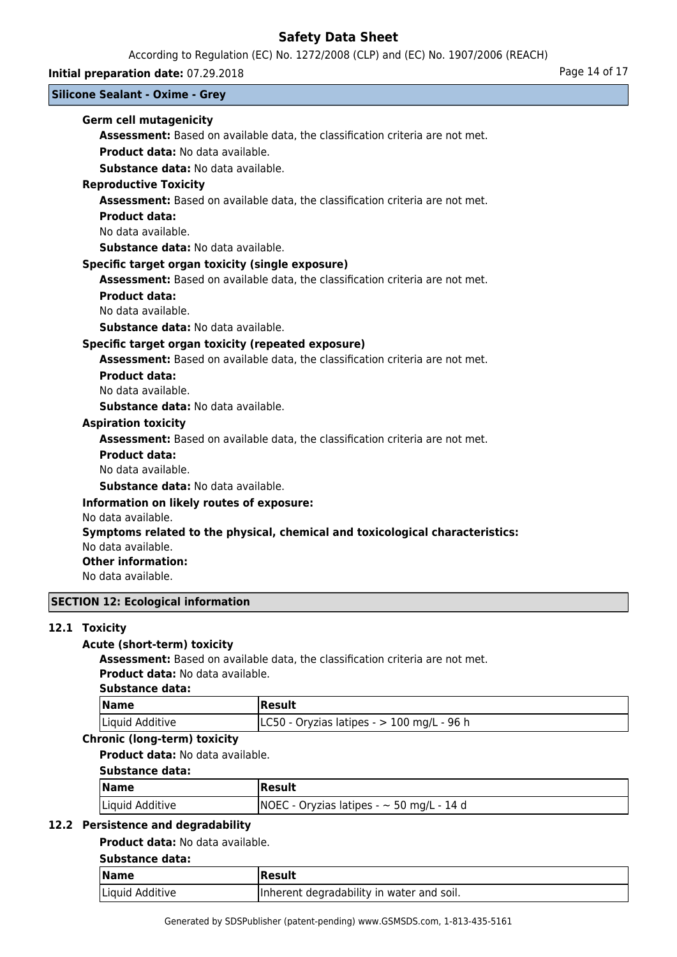According to Regulation (EC) No. 1272/2008 (CLP) and (EC) No. 1907/2006 (REACH)

**Initial preparation date:** 07.29.2018 **Page 14 of 17** Page 14 of 17

# **Silicone Sealant - Oxime - Grey**

# **Germ cell mutagenicity**

**Assessment:** Based on available data, the classification criteria are not met. **Product data:** No data available.

**Substance data:** No data available.

### **Reproductive Toxicity**

**Assessment:** Based on available data, the classification criteria are not met.

### **Product data:**

No data available.

**Substance data:** No data available.

### **Specific target organ toxicity (single exposure)**

**Assessment:** Based on available data, the classification criteria are not met.

#### **Product data:**

No data available.

**Substance data:** No data available.

## **Specific target organ toxicity (repeated exposure)**

**Assessment:** Based on available data, the classification criteria are not met.

### **Product data:**

No data available.

**Substance data:** No data available.

### **Aspiration toxicity**

**Assessment:** Based on available data, the classification criteria are not met.

### **Product data:**

No data available.

**Substance data:** No data available.

### **Information on likely routes of exposure:**

No data available.

### **Symptoms related to the physical, chemical and toxicological characteristics:**

No data available.

### **Other information:**

No data available.

## **SECTION 12: Ecological information**

## **12.1 Toxicity**

## **Acute (short-term) toxicity**

**Assessment:** Based on available data, the classification criteria are not met. **Product data:** No data available.

### **Substance data:**

| <b>Name</b>     | Result                                        |
|-----------------|-----------------------------------------------|
| Liquid Additive | $ LCS0 - Oryzias latipes - > 100 mg/L - 96 h$ |

# **Chronic (long-term) toxicity**

**Product data:** No data available.

# **Substance data:**

| <b>Name</b>     | Result                                         |
|-----------------|------------------------------------------------|
| Liquid Additive | $NOEC - Oryzias latipes - \sim 50 mg/L - 14 d$ |

### **12.2 Persistence and degradability**

### **Product data:** No data available.

# **Substance data:**

| $\sqrt{\mathsf{Name}}$ | Result                                    |
|------------------------|-------------------------------------------|
| Liquid Additive        | Inherent degradability in water and soil. |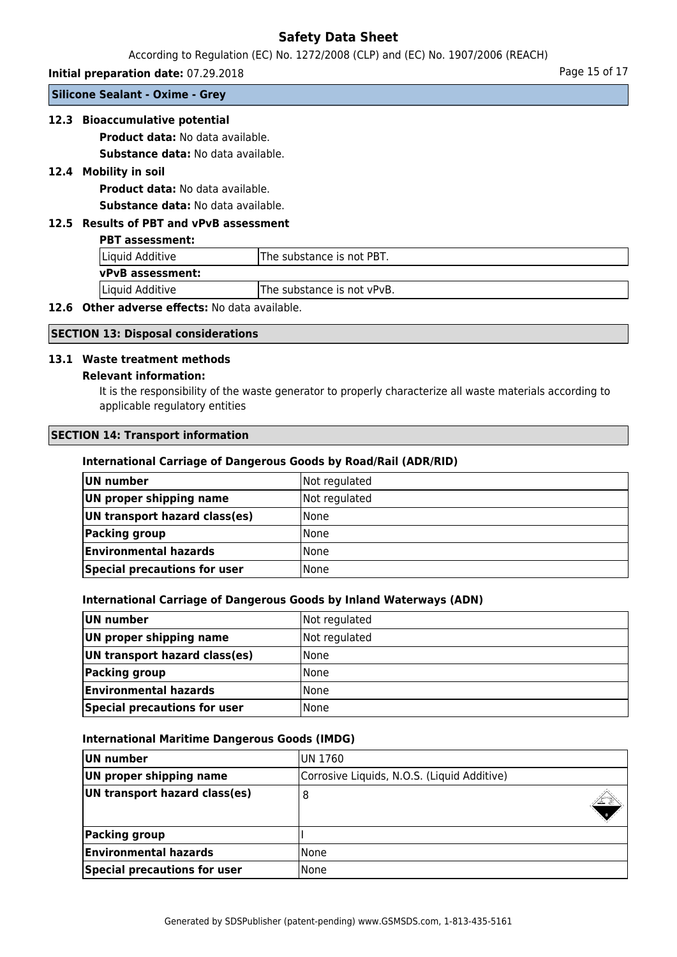According to Regulation (EC) No. 1272/2008 (CLP) and (EC) No. 1907/2006 (REACH)

**Initial preparation date:** 07.29.2018 **Page 15 of 17** Page 15 of 17

**Silicone Sealant - Oxime - Grey**

# **12.3 Bioaccumulative potential**

**Product data:** No data available.

**Substance data:** No data available.

# **12.4 Mobility in soil**

**Product data:** No data available. **Substance data:** No data available.

# **12.5 Results of PBT and vPvB assessment**

#### **PBT assessment:**

| Liquid Additive         | The substance is not PBT.   |  |
|-------------------------|-----------------------------|--|
| <b>vPvB</b> assessment: |                             |  |
| Liquid Additive         | lThe substance is not vPvB. |  |

# **12.6 Other adverse effects:** No data available.

### **SECTION 13: Disposal considerations**

#### **13.1 Waste treatment methods**

#### **Relevant information:**

It is the responsibility of the waste generator to properly characterize all waste materials according to applicable regulatory entities

### **SECTION 14: Transport information**

#### **International Carriage of Dangerous Goods by Road/Rail (ADR/RID)**

| UN number                     | Not regulated |
|-------------------------------|---------------|
| UN proper shipping name       | Not regulated |
| UN transport hazard class(es) | <b>None</b>   |
| Packing group                 | <b>None</b>   |
| <b>Environmental hazards</b>  | l None        |
| Special precautions for user  | None          |

#### **International Carriage of Dangerous Goods by Inland Waterways (ADN)**

| UN number                     | Not regulated |
|-------------------------------|---------------|
| UN proper shipping name       | Not regulated |
| UN transport hazard class(es) | l None        |
| Packing group                 | l None        |
| <b>Environmental hazards</b>  | l None        |
| Special precautions for user  | l None        |

#### **International Maritime Dangerous Goods (IMDG)**

| UN number                     | IUN 1760                                    |  |
|-------------------------------|---------------------------------------------|--|
| UN proper shipping name       | Corrosive Liquids, N.O.S. (Liquid Additive) |  |
| UN transport hazard class(es) | 8                                           |  |
| Packing group                 |                                             |  |
| <b>Environmental hazards</b>  | lNone                                       |  |
| Special precautions for user  | None                                        |  |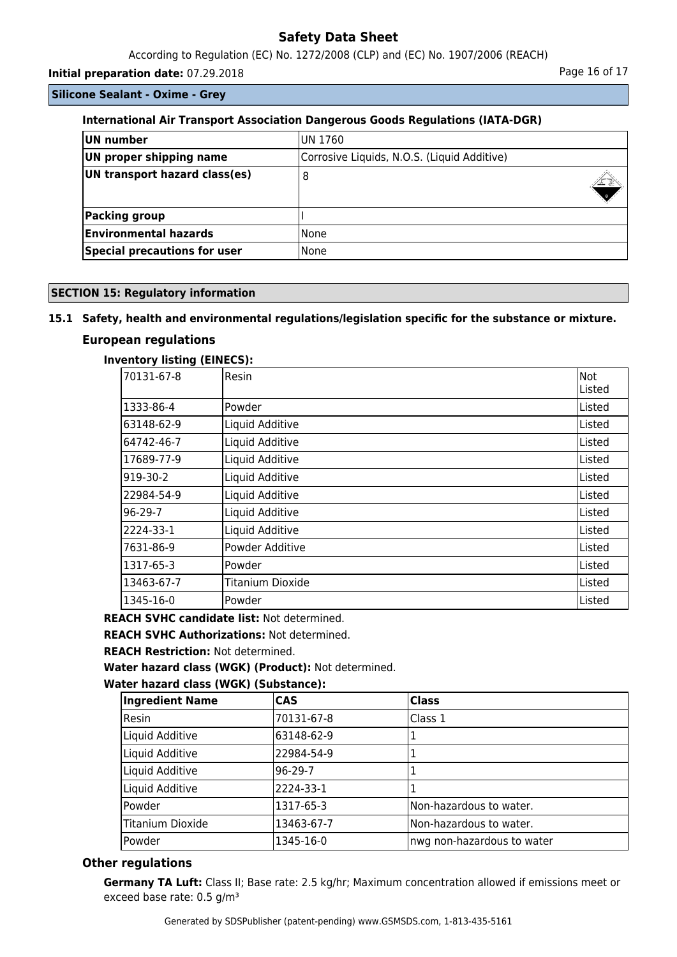According to Regulation (EC) No. 1272/2008 (CLP) and (EC) No. 1907/2006 (REACH)

**Initial preparation date:** 07.29.2018 **Page 16 of 17 Page 16 of 17** 

**Silicone Sealant - Oxime - Grey**

# **International Air Transport Association Dangerous Goods Regulations (IATA-DGR)**

| UN number                           | IUN 1760                                    |  |
|-------------------------------------|---------------------------------------------|--|
| UN proper shipping name             | Corrosive Liquids, N.O.S. (Liquid Additive) |  |
| UN transport hazard class(es)       | 8                                           |  |
| Packing group                       |                                             |  |
| <b>Environmental hazards</b>        | l None                                      |  |
| <b>Special precautions for user</b> | lNone                                       |  |

## **SECTION 15: Regulatory information**

## **15.1 Safety, health and environmental regulations/legislation specific for the substance or mixture.**

# **European regulations**

### **Inventory listing (EINECS):**

| 70131-67-8 | <b>Resin</b>     | lNot   |
|------------|------------------|--------|
|            |                  | Listed |
| 1333-86-4  | <b>Powder</b>    | Listed |
| 63148-62-9 | Liquid Additive  | Listed |
| 64742-46-7 | Liquid Additive  | Listed |
| 17689-77-9 | Liquid Additive  | Listed |
| 919-30-2   | Liquid Additive  | Listed |
| 22984-54-9 | Liquid Additive  | Listed |
| $96-29-7$  | Liquid Additive  | Listed |
| 2224-33-1  | Liquid Additive  | Listed |
| 7631-86-9  | Powder Additive  | Listed |
| 1317-65-3  | Powder           | Listed |
| 13463-67-7 | Titanium Dioxide | Listed |
| 1345-16-0  | Powder           | Listed |

**REACH SVHC candidate list:** Not determined.

**REACH SVHC Authorizations:** Not determined.

**REACH Restriction:** Not determined.

**Water hazard class (WGK) (Product):** Not determined.

### **Water hazard class (WGK) (Substance):**

| <b>Ingredient Name</b>  | <b>CAS</b> | <b>Class</b>               |
|-------------------------|------------|----------------------------|
| Resin                   | 70131-67-8 | Class 1                    |
| Liquid Additive         | 63148-62-9 |                            |
| Liquid Additive         | 22984-54-9 |                            |
| Liquid Additive         | 96-29-7    |                            |
| Liquid Additive         | 2224-33-1  |                            |
| Powder                  | 1317-65-3  | Non-hazardous to water.    |
| <b>Titanium Dioxide</b> | 13463-67-7 | Non-hazardous to water.    |
| Powder                  | 1345-16-0  | nwg non-hazardous to water |

# **Other regulations**

**Germany TA Luft:** Class II; Base rate: 2.5 kg/hr; Maximum concentration allowed if emissions meet or exceed base rate: 0.5 g/m<sup>3</sup>